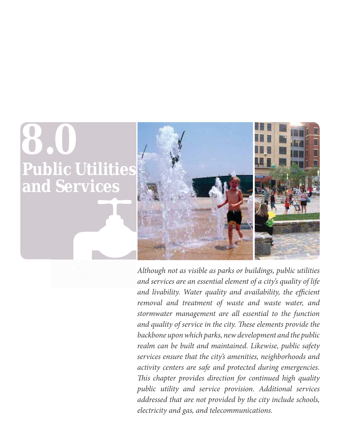# **Public Utilities and Services 8.0**



*Although not as visible as parks or buildings, public utilities and services are an essential element of a city's quality of life and livability. Water quality and availability, the efficient removal and treatment of waste and waste water, and stormwater management are all essential to the function and quality of service in the city. These elements provide the backbone upon which parks, new development and the public realm can be built and maintained. Likewise, public safety services ensure that the city's amenities, neighborhoods and activity centers are safe and protected during emergencies. This chapter provides direction for continued high quality public utility and service provision. Additional services addressed that are not provided by the city include schools, electricity and gas, and telecommunications.*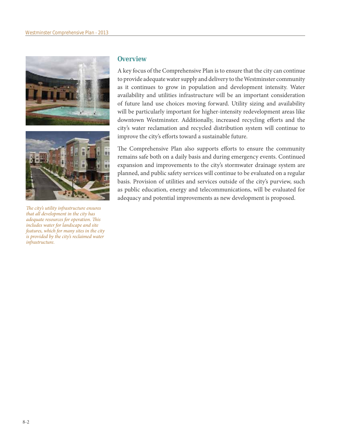



*The city's utility infrastructure ensures that all development in the city has adequate resources for operation. This includes water for landscape and site features, which for many sites in the city is provided by the city's reclaimed water infrastructure.*

# **Overview**

A key focus of the Comprehensive Plan is to ensure that the city can continue to provide adequate water supply and delivery to the Westminster community as it continues to grow in population and development intensity. Water availability and utilities infrastructure will be an important consideration of future land use choices moving forward. Utility sizing and availability will be particularly important for higher-intensity redevelopment areas like downtown Westminster. Additionally, increased recycling efforts and the city's water reclamation and recycled distribution system will continue to improve the city's efforts toward a sustainable future.

The Comprehensive Plan also supports efforts to ensure the community remains safe both on a daily basis and during emergency events. Continued expansion and improvements to the city's stormwater drainage system are planned, and public safety services will continue to be evaluated on a regular basis. Provision of utilities and services outside of the city's purview, such as public education, energy and telecommunications, will be evaluated for adequacy and potential improvements as new development is proposed.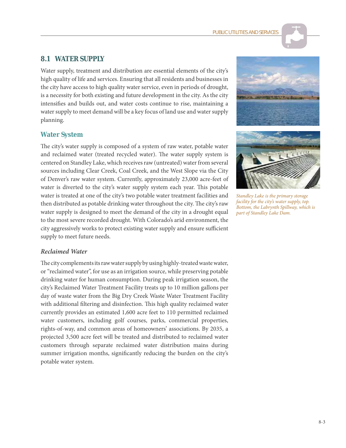# **8.1 WATER SUPPLY**

Water supply, treatment and distribution are essential elements of the city's high quality of life and services. Ensuring that all residents and businesses in the city have access to high quality water service, even in periods of drought, is a necessity for both existing and future development in the city. As the city intensifies and builds out, and water costs continue to rise, maintaining a water supply to meet demand will be a key focus of land use and water supply planning.

#### **Water System**

The city's water supply is composed of a system of raw water, potable water and reclaimed water (treated recycled water). The water supply system is centered on Standley Lake, which receives raw (untreated) water from several sources including Clear Creek, Coal Creek, and the West Slope via the City of Denver's raw water system. Currently, approximately 23,000 acre-feet of water is diverted to the city's water supply system each year. This potable water is treated at one of the city's two potable water treatment facilities and then distributed as potable drinking water throughout the city. The city's raw water supply is designed to meet the demand of the city in a drought equal to the most severe recorded drought. With Colorado's arid environment, the city aggressively works to protect existing water supply and ensure sufficient supply to meet future needs.





*Standley Lake is the primary storage facility for the city's water supply, top. Bottom, the Labrynth Spillway, which is part of Standley Lake Dam.*

#### *Reclaimed Water*

The city complements its raw water supply by using highly-treated waste water, or "reclaimed water", for use as an irrigation source, while preserving potable drinking water for human consumption. During peak irrigation season, the city's Reclaimed Water Treatment Facility treats up to 10 million gallons per day of waste water from the Big Dry Creek Waste Water Treatment Facility with additional filtering and disinfection. This high quality reclaimed water currently provides an estimated 1,600 acre feet to 110 permitted reclaimed water customers, including golf courses, parks, commercial properties, rights-of-way, and common areas of homeowners' associations. By 2035, a projected 3,500 acre feet will be treated and distributed to reclaimed water customers through separate reclaimed water distribution mains during summer irrigation months, significantly reducing the burden on the city's potable water system.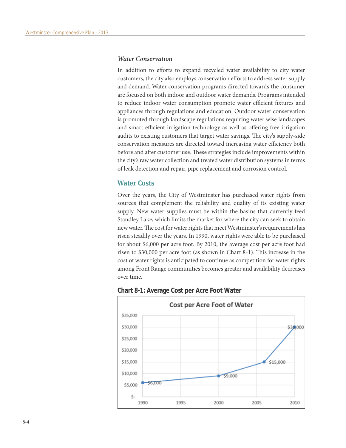#### *Water Conservation*

In addition to efforts to expand recycled water availability to city water customers, the city also employs conservation efforts to address water supply and demand. Water conservation programs directed towards the consumer are focused on both indoor and outdoor water demands. Programs intended to reduce indoor water consumption promote water efficient fixtures and appliances through regulations and education. Outdoor water conservation is promoted through landscape regulations requiring water wise landscapes and smart efficient irrigation technology as well as offering free irrigation audits to existing customers that target water savings. The city's supply-side conservation measures are directed toward increasing water efficiency both before and after customer use. These strategies include improvements within the city's raw water collection and treated water distribution systems in terms of leak detection and repair, pipe replacement and corrosion control.

#### **Water Costs**

Over the years, the City of Westminster has purchased water rights from sources that complement the reliability and quality of its existing water supply. New water supplies must be within the basins that currently feed Standley Lake, which limits the market for where the city can seek to obtain new water. The cost for water rights that meet Westminster's requirements has risen steadily over the years. In 1990, water rights were able to be purchased for about \$6,000 per acre foot. By 2010, the average cost per acre foot had risen to \$30,000 per acre foot (as shown in Chart 8-1). This increase in the cost of water rights is anticipated to continue as competition for water rights among Front Range communities becomes greater and availability decreases over time.



**Chart 8-1: Average Cost per Acre Foot Water**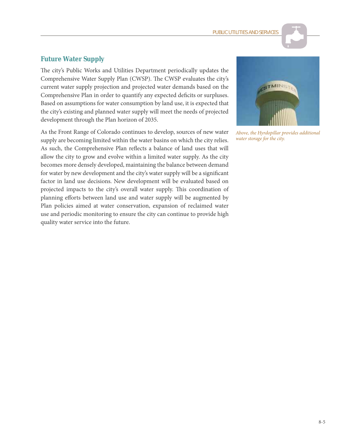# **Future Water Supply**

The city's Public Works and Utilities Department periodically updates the Comprehensive Water Supply Plan (CWSP). The CWSP evaluates the city's current water supply projection and projected water demands based on the Comprehensive Plan in order to quantify any expected deficits or surpluses. Based on assumptions for water consumption by land use, it is expected that the city's existing and planned water supply will meet the needs of projected development through the Plan horizon of 2035.

As the Front Range of Colorado continues to develop, sources of new water supply are becoming limited within the water basins on which the city relies. As such, the Comprehensive Plan reflects a balance of land uses that will allow the city to grow and evolve within a limited water supply. As the city becomes more densely developed, maintaining the balance between demand for water by new development and the city's water supply will be a significant factor in land use decisions. New development will be evaluated based on projected impacts to the city's overall water supply. This coordination of planning efforts between land use and water supply will be augmented by Plan policies aimed at water conservation, expansion of reclaimed water use and periodic monitoring to ensure the city can continue to provide high quality water service into the future.



*Above, the Hyrdopillar provides additional water storage for the city.*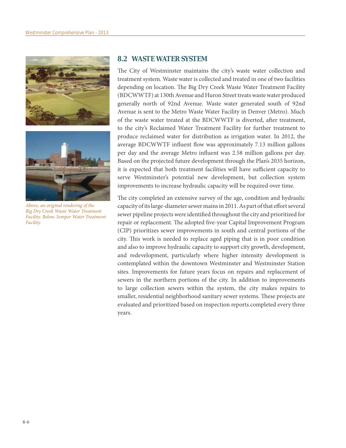



*Above, an original rendering of the Big Dry Creek Waste Water Treatment Facility. Below, Semper Water Treatment Facility.*

# **8.2 WASTE WATER SYSTEM**

The City of Westminster maintains the city's waste water collection and treatment system. Waste water is collected and treated in one of two facilities depending on location. The Big Dry Creek Waste Water Treatment Facility (BDCWWTF) at 130th Avenue and Huron Street treats waste water produced generally north of 92nd Avenue. Waste water generated south of 92nd Avenue is sent to the Metro Waste Water Facility in Denver (Metro). Much of the waste water treated at the BDCWWTF is diverted, after treatment, to the city's Reclaimed Water Treatment Facility for further treatment to produce reclaimed water for distribution as irrigation water. In 2012, the average BDCWWTF influent flow was approximately 7.13 million gallons per day and the average Metro influent was 2.58 million gallons per day. Based on the projected future development through the Plan's 2035 horizon, it is expected that both treatment facilities will have sufficient capacity to serve Westminster's potential new development, but collection system improvements to increase hydraulic capacity will be required over time.

The city completed an extensive survey of the age, condition and hydraulic capacity of its large-diameter sewer mains in 2011. As part of that effort several sewer pipeline projects were identified throughout the city and prioritized for repair or replacement. The adopted five-year Capital Improvement Program (CIP) prioritizes sewer improvements in south and central portions of the city. This work is needed to replace aged piping that is in poor condition and also to improve hydraulic capacity to support city growth, development, and redevelopment, particularly where higher intensity development is contemplated within the downtown Westminster and Westminster Station sites. Improvements for future years focus on repairs and replacement of sewers in the northern portions of the city. In addition to improvements to large collection sewers within the system, the city makes repairs to smaller, residential neighborhood sanitary sewer systems. These projects are evaluated and prioritized based on inspection reports completed every three years.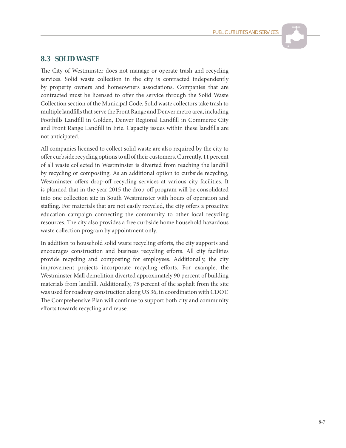# **8.3 SOLID WASTE**

The City of Westminster does not manage or operate trash and recycling services. Solid waste collection in the city is contracted independently by property owners and homeowners associations. Companies that are contracted must be licensed to offer the service through the Solid Waste Collection section of the Municipal Code. Solid waste collectors take trash to multiple landfills that serve the Front Range and Denver metro area, including Foothills Landfill in Golden, Denver Regional Landfill in Commerce City and Front Range Landfill in Erie. Capacity issues within these landfills are not anticipated.

All companies licensed to collect solid waste are also required by the city to offer curbside recycling options to all of their customers. Currently, 11 percent of all waste collected in Westminster is diverted from reaching the landfill by recycling or composting. As an additional option to curbside recycling, Westminster offers drop-off recycling services at various city facilities. It is planned that in the year 2015 the drop-off program will be consolidated into one collection site in South Westminster with hours of operation and staffing. For materials that are not easily recycled, the city offers a proactive education campaign connecting the community to other local recycling resources. The city also provides a free curbside home household hazardous waste collection program by appointment only.

In addition to household solid waste recycling efforts, the city supports and encourages construction and business recycling efforts. All city facilities provide recycling and composting for employees. Additionally, the city improvement projects incorporate recycling efforts. For example, the Westminster Mall demolition diverted approximately 90 percent of building materials from landfill. Additionally, 75 percent of the asphalt from the site was used for roadway construction along US 36, in coordination with CDOT. The Comprehensive Plan will continue to support both city and community efforts towards recycling and reuse.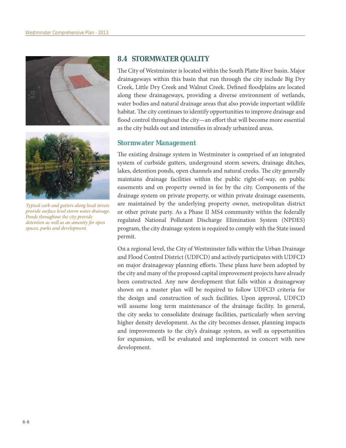



*Typical curb and gutters along local streets provide surface level storm water drainage. Ponds throughout the city provide detention as well as an amenity for open spaces, parks and development.*

# **8.4 STORMWATER QUALITY**

The City of Westminster is located within the South Platte River basin. Major drainageways within this basin that run through the city include Big Dry Creek, Little Dry Creek and Walnut Creek. Defined floodplains are located along these drainageways, providing a diverse environment of wetlands, water bodies and natural drainage areas that also provide important wildlife habitat. The city continues to identify opportunities to improve drainage and flood control throughout the city—an effort that will become more essential as the city builds out and intensifies in already urbanized areas.

# **Stormwater Management**

The existing drainage system in Westminster is comprised of an integrated system of curbside gutters, underground storm sewers, drainage ditches, lakes, detention ponds, open channels and natural creeks. The city generally maintains drainage facilities within the public right-of-way, on public easements and on property owned in fee by the city. Components of the drainage system on private property, or within private drainage easements, are maintained by the underlying property owner, metropolitan district or other private party. As a Phase II MS4 community within the federally regulated National Pollutant Discharge Elimination System (NPDES) program, the city drainage system is required to comply with the State issued permit.

On a regional level, the City of Westminster falls within the Urban Drainage and Flood Control District (UDFCD) and actively participates with UDFCD on major drainageway planning efforts. These plans have been adopted by the city and many of the proposed capital improvement projects have already been constructed. Any new development that falls within a drainageway shown on a master plan will be required to follow UDFCD criteria for the design and construction of such facilities. Upon approval, UDFCD will assume long term maintenance of the drainage facility. In general, the city seeks to consolidate drainage facilities, particularly when serving higher density development. As the city becomes denser, planning impacts and improvements to the city's drainage system, as well as opportunities for expansion, will be evaluated and implemented in concert with new development.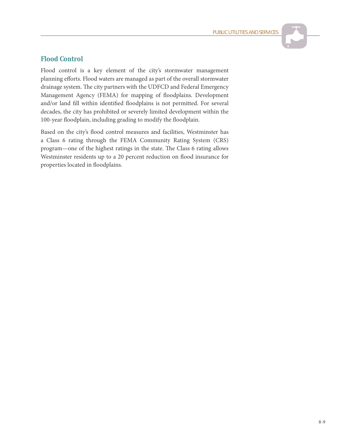# **Flood Control**

Flood control is a key element of the city's stormwater management planning efforts. Flood waters are managed as part of the overall stormwater drainage system. The city partners with the UDFCD and Federal Emergency Management Agency (FEMA) for mapping of floodplains. Development and/or land fill within identified floodplains is not permitted. For several decades, the city has prohibited or severely limited development within the 100-year floodplain, including grading to modify the floodplain.

Based on the city's flood control measures and facilities, Westminster has a Class 6 rating through the FEMA Community Rating System (CRS) program—one of the highest ratings in the state. The Class 6 rating allows Westminster residents up to a 20 percent reduction on flood insurance for properties located in floodplains.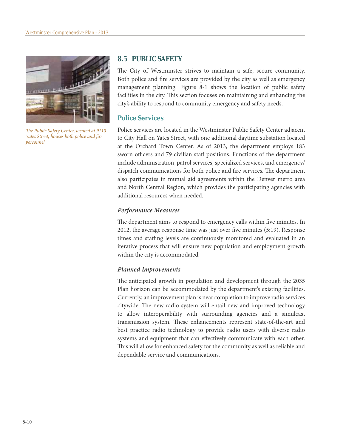

*The Public Safety Center, located at 9110 Yates Street, houses both police and fire personnel.*

# **8.5 PUBLIC SAFETY**

The City of Westminster strives to maintain a safe, secure community. Both police and fire services are provided by the city as well as emergency management planning. Figure 8-1 shows the location of public safety facilities in the city. This section focuses on maintaining and enhancing the city's ability to respond to community emergency and safety needs.

# **Police Services**

Police services are located in the Westminster Public Safety Center adjacent to City Hall on Yates Street, with one additional daytime substation located at the Orchard Town Center. As of 2013, the department employs 183 sworn officers and 79 civilian staff positions. Functions of the department include administration, patrol services, specialized services, and emergency/ dispatch communications for both police and fire services. The department also participates in mutual aid agreements within the Denver metro area and North Central Region, which provides the participating agencies with additional resources when needed.

#### *Performance Measures*

The department aims to respond to emergency calls within five minutes. In 2012, the average response time was just over five minutes (5:19). Response times and staffing levels are continuously monitored and evaluated in an iterative process that will ensure new population and employment growth within the city is accommodated.

# *Planned Improvements*

The anticipated growth in population and development through the 2035 Plan horizon can be accommodated by the department's existing facilities. Currently, an improvement plan is near completion to improve radio services citywide. The new radio system will entail new and improved technology to allow interoperability with surrounding agencies and a simulcast transmission system. These enhancements represent state-of-the-art and best practice radio technology to provide radio users with diverse radio systems and equipment that can effectively communicate with each other. This will allow for enhanced safety for the community as well as reliable and dependable service and communications.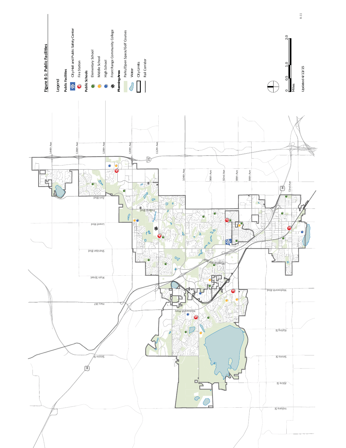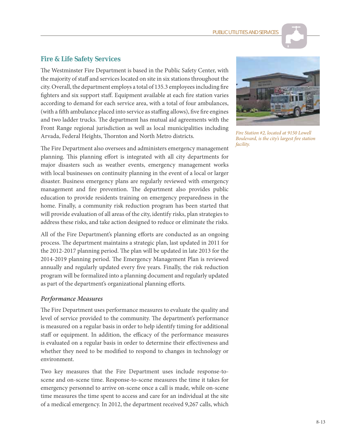# **Fire & Life Safety Services**

The Westminster Fire Department is based in the Public Safety Center, with the majority of staff and services located on site in six stations throughout the city. Overall, the department employs a total of 135.3 employees including fire fighters and six support staff. Equipment available at each fire station varies according to demand for each service area, with a total of four ambulances, (with a fifth ambulance placed into service as staffing allows), five fire engines and two ladder trucks. The department has mutual aid agreements with the Front Range regional jurisdiction as well as local municipalities including Arvada, Federal Heights, Thornton and North Metro districts.

The Fire Department also oversees and administers emergency management planning. This planning effort is integrated with all city departments for major disasters such as weather events, emergency management works with local businesses on continuity planning in the event of a local or larger disaster. Business emergency plans are regularly reviewed with emergency management and fire prevention. The department also provides public education to provide residents training on emergency preparedness in the home. Finally, a community risk reduction program has been started that will provide evaluation of all areas of the city, identify risks, plan strategies to address these risks, and take action designed to reduce or eliminate the risks.

All of the Fire Department's planning efforts are conducted as an ongoing process. The department maintains a strategic plan, last updated in 2011 for the 2012-2017 planning period. The plan will be updated in late 2013 for the 2014-2019 planning period. The Emergency Management Plan is reviewed annually and regularly updated every five years. Finally, the risk reduction program will be formalized into a planning document and regularly updated as part of the department's organizational planning efforts.

#### *Performance Measures*

The Fire Department uses performance measures to evaluate the quality and level of service provided to the community. The department's performance is measured on a regular basis in order to help identify timing for additional staff or equipment. In addition, the efficacy of the performance measures is evaluated on a regular basis in order to determine their effectiveness and whether they need to be modified to respond to changes in technology or environment.

Two key measures that the Fire Department uses include response-toscene and on-scene time. Response-to-scene measures the time it takes for emergency personnel to arrive on-scene once a call is made, while on-scene time measures the time spent to access and care for an individual at the site of a medical emergency. In 2012, the department received 9,267 calls, which



*Fire Station #2, located at 9150 Lowell Boulevard, is the city's largest fire station facility.*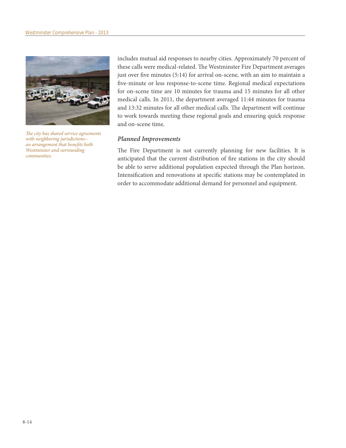

*The city has shared service agreements with neighboring jurisdictions- an arrangement that benefits both Westminster and surrounding communities.*

includes mutual aid responses to nearby cities. Approximately 70 percent of these calls were medical-related. The Westminster Fire Department averages just over five minutes (5:14) for arrival on-scene, with an aim to maintain a five-minute or less response-to-scene time. Regional medical expectations for on-scene time are 10 minutes for trauma and 15 minutes for all other medical calls. In 2011, the department averaged 11:44 minutes for trauma and 13:32 minutes for all other medical calls. The department will continue to work towards meeting these regional goals and ensuring quick response and on-scene time.

#### *Planned Improvements*

The Fire Department is not currently planning for new facilities. It is anticipated that the current distribution of fire stations in the city should be able to serve additional population expected through the Plan horizon. Intensification and renovations at specific stations may be contemplated in order to accommodate additional demand for personnel and equipment.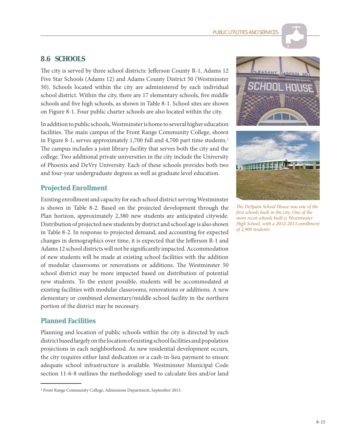# **8.6 SCHOOLS**

The city is served by three school districts: Jefferson County R-1, Adams 12 Five Star Schools (Adams 12) and Adams County District 50 (Westminster 50). Schools located within the city are administered by each individual school district. Within the city, there are 17 elementary schools, five middle schools and five high schools, as shown in Table 8-1. School sites are shown on Figure 8-1. Four public charter schools are also located within the city.

In addition to public schools, Westminster is home to several higher education facilities. The main campus of the Front Range Community College, shown in Figure 8-1, serves approximately 1,700 full and 4,700 part time students.<sup>1</sup> The campus includes a joint library facility that serves both the city and the college. Two additional private universities in the city include the University of Phoenix and DeVry University. Each of these schools provides both two and four-year undergraduate degrees as well as graduate level education.

# **Projected Enrollment**

Existing enrollment and capacity for each school district serving Westminster is shown in Table 8-2. Based on the projected development through the Plan horizon, approximately 2,380 new students are anticipated citywide. Distribution of projected new students by district and school age is also shown in Table 8-2. In response to projected demand, and accounting for expected changes in demographics over time, it is expected that the Jefferson R-1 and Adams 12 school districts will not be significantly impacted. Accommodation of new students will be made at existing school facilities with the addition of modular classrooms or renovations or additions. The Westminster 50 school district may be more impacted based on distribution of potential new students. To the extent possible, students will be accommodated at existing facilities with modular classrooms, renovations or additions. A new elementary or combined elementary/middle school facility in the northern portion of the district may be necessary.

# **Planned Facilities**

Planning and location of public schools within the city is directed by each district based largely on the location of existing school facilities and population projections in each neighborhood. As new residential development occurs, the city requires either land dedication or a cash-in-lieu payment to ensure adequate school infrastructure is available. Westminster Municipal Code section 11-6-8 outlines the methodology used to calculate fees and/or land



*The DeSpain School House was one of the first schools built in the city. One of the more recnt schools built is Westminster High School, with a 2012-2013 enrollment of 2,900 students.*

<sup>1</sup> Front Range Community College, Admissions Department, September 2013.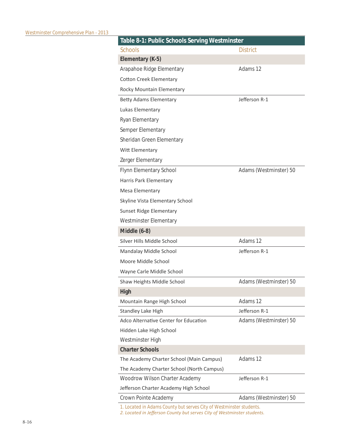| Table 8-1: Public Schools Serving Westminster |                        |  |
|-----------------------------------------------|------------------------|--|
| <b>Schools</b>                                | District               |  |
| Elementary (K-5)                              |                        |  |
| Arapahoe Ridge Elementary                     | Adams 12               |  |
| <b>Cotton Creek Elementary</b>                |                        |  |
| Rocky Mountain Elementary                     |                        |  |
| <b>Betty Adams Elementary</b>                 | Jefferson R-1          |  |
| Lukas Elementary                              |                        |  |
| Ryan Elementary                               |                        |  |
| Semper Elementary                             |                        |  |
| Sheridan Green Elementary                     |                        |  |
| Witt Elementary                               |                        |  |
| Zerger Elementary                             |                        |  |
| Flynn Elementary School                       | Adams (Westminster) 50 |  |
| Harris Park Elementary                        |                        |  |
| Mesa Elementary                               |                        |  |
| Skyline Vista Elementary School               |                        |  |
| <b>Sunset Ridge Elementary</b>                |                        |  |
| <b>Westminster Elementary</b>                 |                        |  |
| Middle (6-8)                                  |                        |  |
| Silver Hills Middle School                    | Adams 12               |  |
| Mandalay Middle School                        | Jefferson R-1          |  |
| Moore Middle School                           |                        |  |
| Wayne Carle Middle School                     |                        |  |
| Shaw Heights Middle School                    | Adams (Westminster) 50 |  |
| High                                          |                        |  |
| Mountain Range High School                    | Adams 12               |  |
| <b>Standley Lake High</b>                     | Jefferson R-1          |  |
| Adco Alternative Center for Education         | Adams (Westminster) 50 |  |
| Hidden Lake High School                       |                        |  |
| Westminster High                              |                        |  |
| <b>Charter Schools</b>                        |                        |  |
| The Academy Charter School (Main Campus)      | Adams 12               |  |
| The Academy Charter School (North Campus)     |                        |  |
| Woodrow Wilson Charter Academy                | Jefferson R-1          |  |
| Jefferson Charter Academy High School         |                        |  |
| Crown Pointe Academy                          | Adams (Westminster) 50 |  |

*1. Located in Adams County but serves City of Westminster students.* 

2. Located in Jefferson County but serves City of Westminster students.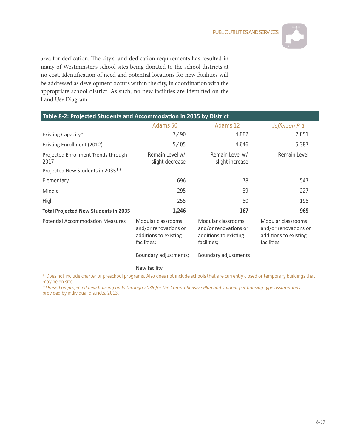

area for dedication. The city's land dedication requirements has resulted in many of Westminster's school sites being donated to the school districts at no cost. Identification of need and potential locations for new facilities will be addressed as development occurs within the city, in coordination with the appropriate school district. As such, no new facilities are identified on the Land Use Diagram.

| Table 8-2: Projected Students and Accommodation in 2035 by District |                                                                                     |                                                                                     |                                                                                    |
|---------------------------------------------------------------------|-------------------------------------------------------------------------------------|-------------------------------------------------------------------------------------|------------------------------------------------------------------------------------|
|                                                                     | Adams 50                                                                            | Adams 12                                                                            | Jefferson R-1                                                                      |
| Existing Capacity*                                                  | 7,490                                                                               | 4,882                                                                               | 7,851                                                                              |
| Existing Enrollment (2012)                                          | 5,405                                                                               | 4,646                                                                               | 5,387                                                                              |
| Projected Enrollment Trends through<br>2017                         | Remain Level w/<br>slight decrease                                                  | Remain Level w/<br>slight increase                                                  | Remain Level                                                                       |
| Projected New Students in 2035**                                    |                                                                                     |                                                                                     |                                                                                    |
| Elementary                                                          | 696                                                                                 | 78                                                                                  | 547                                                                                |
| Middle                                                              | 295                                                                                 | 39                                                                                  | 227                                                                                |
| High                                                                | 255                                                                                 | 50                                                                                  | 195                                                                                |
| <b>Total Projected New Students in 2035</b>                         | 1,246                                                                               | 167                                                                                 | 969                                                                                |
| <b>Potential Accommodation Measures</b>                             | Modular classrooms<br>and/or renovations or<br>additions to existing<br>facilities; | Modular classrooms<br>and/or renovations or<br>additions to existing<br>facilities; | Modular classrooms<br>and/or renovations or<br>additions to existing<br>facilities |
|                                                                     | Boundary adjustments;                                                               | Boundary adjustments                                                                |                                                                                    |
|                                                                     | New facility                                                                        |                                                                                     |                                                                                    |

*\* Does not include charter or preschool programs. Also does not include schools that are currently closed or temporary buildings that may be on site.* 

*ΎΎĂƐĞĚŽŶƉƌŽũĞĐƚĞĚŶĞǁŚŽƵƐŝŶŐƵŶŝƚƐƚŚƌŽƵŐŚϮϬϯϱĨŽƌƚŚĞŽŵƉƌĞŚĞŶƐŝǀĞWůĂŶĂŶĚƐƚƵĚĞŶƚƉĞƌŚŽƵƐŝŶŐƚLJƉĞĂƐƐƵŵƉƟŽŶƐ provided by individual districts, 2013.*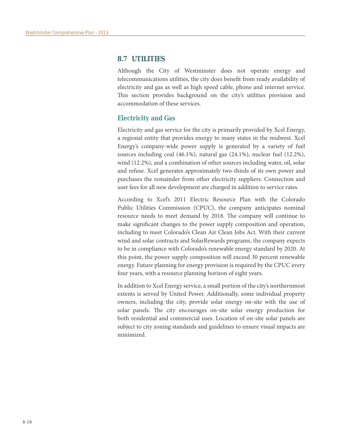# **8.7 UTILITIES**

Although the City of Westminster does not operate energy and telecommunications utilities, the city does benefit from ready availability of electricity and gas as well as high speed cable, phone and internet service. This section provides background on the city's utilities provision and accommodation of these services.

### **Electricity and Gas**

Electricity and gas service for the city is primarily provided by Xcel Energy, a regional entity that provides energy to many states in the midwest. Xcel Energy's company-wide power supply is generated by a variety of fuel sources including coal (46.1%), natural gas (24.1%), nuclear fuel (12.2%), wind (12.2%), and a combination of other sources including water, oil, solar and refuse. Xcel generates approximately two-thirds of its own power and purchases the remainder from other electricity suppliers. Connection and user fees for all new development are charged in addition to service rates.

According to Xcel's 2011 Electric Resource Plan with the Colorado Public Utilities Commission (CPUC), the company anticipates nominal resource needs to meet demand by 2018. The company will continue to make significant changes to the power supply composition and operation, including to meet Colorado's Clean Air Clean Jobs Act. With their current wind and solar contracts and SolarRewards programs, the company expects to be in compliance with Colorado's renewable energy standard by 2020. At this point, the power supply composition will exceed 30 percent renewable energy. Future planning for energy provision is required by the CPUC every four years, with a resource planning horizon of eight years.

In addition to Xcel Energy service, a small portion of the city's northernmost extents is served by United Power. Additionally, some individual property owners, including the city, provide solar energy on-site with the use of solar panels. The city encourages on-site solar energy production for both residential and commercial uses. Location of on-site solar panels are subject to city zoning standards and guidelines to ensure visual impacts are minimized.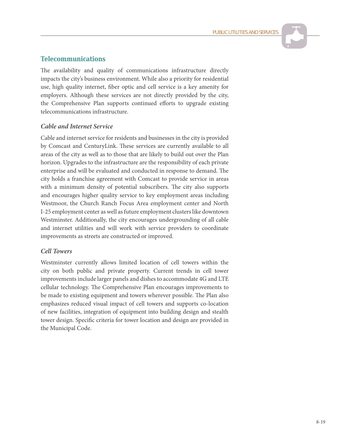# **Telecommunications**

The availability and quality of communications infrastructure directly impacts the city's business environment. While also a priority for residential use, high quality internet, fiber optic and cell service is a key amenity for employers. Although these services are not directly provided by the city, the Comprehensive Plan supports continued efforts to upgrade existing telecommunications infrastructure.

### *Cable and Internet Service*

Cable and internet service for residents and businesses in the city is provided by Comcast and CenturyLink. These services are currently available to all areas of the city as well as to those that are likely to build out over the Plan horizon. Upgrades to the infrastructure are the responsibility of each private enterprise and will be evaluated and conducted in response to demand. The city holds a franchise agreement with Comcast to provide service in areas with a minimum density of potential subscribers. The city also supports and encourages higher quality service to key employment areas including Westmoor, the Church Ranch Focus Area employment center and North I-25 employment center as well as future employment clusters like downtown Westminster. Additionally, the city encourages undergrounding of all cable and internet utilities and will work with service providers to coordinate improvements as streets are constructed or improved.

#### *Cell Towers*

Westminster currently allows limited location of cell towers within the city on both public and private property. Current trends in cell tower improvements include larger panels and dishes to accommodate 4G and LTE cellular technology. The Comprehensive Plan encourages improvements to be made to existing equipment and towers wherever possible. The Plan also emphasizes reduced visual impact of cell towers and supports co-location of new facilities, integration of equipment into building design and stealth tower design. Specific criteria for tower location and design are provided in the Municipal Code.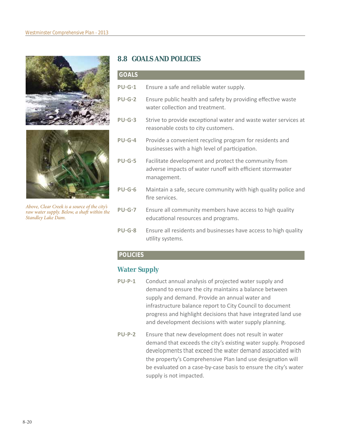



*Above, Clear Creek is a source of the city's raw water supply. Below, a shaft within the Standley Lake Dam.*

# **8.8 GOALS AND POLICIES**

| <b>GOALS</b>  |                                                                                                                                   |
|---------------|-----------------------------------------------------------------------------------------------------------------------------------|
| <b>PU-G-1</b> | Ensure a safe and reliable water supply.                                                                                          |
| <b>PU-G-2</b> | Ensure public health and safety by providing effective waste<br>water collection and treatment.                                   |
| <b>PU-G-3</b> | Strive to provide exceptional water and waste water services at<br>reasonable costs to city customers.                            |
| <b>PU-G-4</b> | Provide a convenient recycling program for residents and<br>businesses with a high level of participation.                        |
| <b>PU-G-5</b> | Facilitate development and protect the community from<br>adverse impacts of water runoff with efficient stormwater<br>management. |
| $PU-G-6$      | Maintain a safe, secure community with high quality police and<br>fire services.                                                  |
| <b>PU-G-7</b> | Ensure all community members have access to high quality<br>educational resources and programs.                                   |
| DILC-9        | Ensura all residents and businesses have access to high quality                                                                   |

Ensure all residents and businesses have access to high quality utility systems.

# **POLICIES**

# **Water Supply**

- PU-P-1 Conduct annual analysis of projected water supply and demand to ensure the city maintains a balance between supply and demand. Provide an annual water and infrastructure balance report to City Council to document progress and highlight decisions that have integrated land use and development decisions with water supply planning.
- **PU-P-2** Ensure that new development does not result in water demand that exceeds the city's existing water supply. Proposed developments that exceed the water demand associated with the property's Comprehensive Plan land use designation will be evaluated on a case-by-case basis to ensure the city's water supply is not impacted.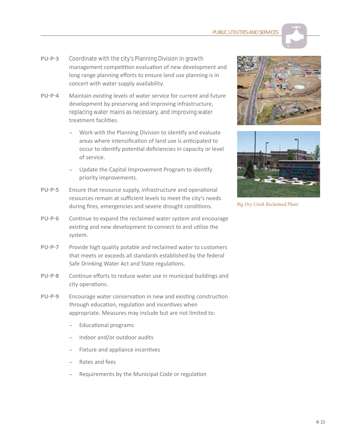

- **PU-P-3** Coordinate with the city's Planning Division in growth management competition evaluation of new development and long range planning efforts to ensure land use planning is in concert with water supply availability.
- **PU-P-4** Maintain existing levels of water service for current and future development by preserving and improving infrastructure, replacing water mains as necessary, and improving water treatment facilities
	- Work with the Planning Division to identify and evaluate areas where intensification of land use is anticipated to occur to identify potential deficiencies in capacity or level of service.
	- Update the Capital Improvement Program to identify priority improvements.
- PU-P-5 Ensure that resource supply, infrastructure and operational resources remain at sufficient levels to meet the city's needs during fires, emergencies and severe drought conditions.
- PU-P-6 Continue to expand the reclaimed water system and encourage existing and new development to connect to and utilize the system.
- PU-P-7 Provide high quality potable and reclaimed water to customers that meets or exceeds all standards established by the federal Safe Drinking Water Act and State regulations.
- PU-P-8 Continue efforts to reduce water use in municipal buildings and city operations.
- PU-P-9 Encourage water conservation in new and existing construction through education, regulation and incentives when appropriate. Measures may include but are not limited to:
	- Educational programs
	- Indoor and/or outdoor audits
	- Fixture and appliance incentives
	- Rates and fees
	- Requirements by the Municipal Code or regulation





*Big Dry Creek Reclaimed Plant.*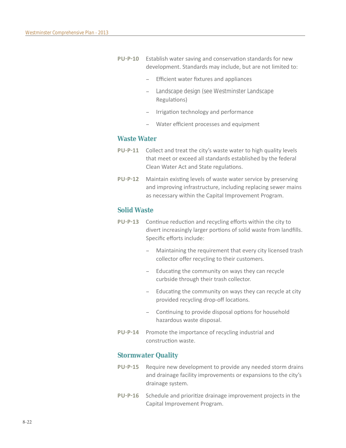- PU-P-10 Establish water saving and conservation standards for new development. Standards may include, but are not limited to:
	- Efficient water fixtures and appliances
	- Landscape design (see Westminster Landscape Regulations)
	- Irrigation technology and performance
	- Water efficient processes and equipment

#### **Waste Water**

- **PU-P-11** Collect and treat the city's waste water to high quality levels that meet or exceed all standards established by the federal Clean Water Act and State regulations.
- **PU-P-12** Maintain existing levels of waste water service by preserving and improving infrastructure, including replacing sewer mains as necessary within the Capital Improvement Program.

### **Solid Waste**

- PU-P-13 Continue reduction and recycling efforts within the city to divert increasingly larger portions of solid waste from landfills. Specific efforts include:
	- Maintaining the requirement that every city licensed trash collector offer recycling to their customers.
	- Educating the community on ways they can recycle curbside through their trash collector.
	- Educating the community on ways they can recycle at city provided recycling drop-off locations.
	- Continuing to provide disposal options for household hazardous waste disposal.
- PU-P-14 Promote the importance of recycling industrial and construction waste.

#### **Stormwater Quality**

- PU-P-15 Require new development to provide any needed storm drains and drainage facility improvements or expansions to the city's drainage system.
- **PU-P-16** Schedule and prioritize drainage improvement projects in the Capital Improvement Program.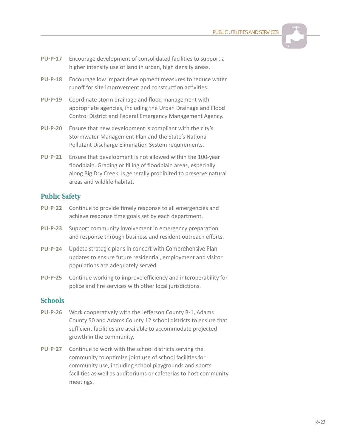**PUBLIC UTILITIES AND SERVICE** 

- PU-P-17 Encourage development of consolidated facilities to support a higher intensity use of land in urban, high density areas.
- PU-P-18 Encourage low impact development measures to reduce water runoff for site improvement and construction activities.
- PU-P-19 Coordinate storm drainage and flood management with appropriate agencies, including the Urban Drainage and Flood Control District and Federal Emergency Management Agency.
- **PU-P-20** Ensure that new development is compliant with the city's Stormwater Management Plan and the State's National Pollutant Discharge Elimination System requirements.
- **PU-P-21** Ensure that development is not allowed within the 100-year floodplain. Grading or filling of floodplain areas, especially along Big Dry Creek, is generally prohibited to preserve natural areas and wildlife habitat.

# **Public Safety**

- PU-P-22 Continue to provide timely response to all emergencies and achieve response time goals set by each department.
- PU-P-23 Support community involvement in emergency preparation and response through business and resident outreach efforts.
- **PU-P-24** Update strategic plans in concert with Comprehensive Plan updates to ensure future residential, employment and visitor populations are adequately served.
- **PU-P-25** Continue working to improve efficiency and interoperability for police and fire services with other local jurisdictions.

# **Schools**

- **PU-P-26** Work cooperatively with the Jefferson County R-1, Adams County 50 and Adams County 12 school districts to ensure that sufficient facilities are available to accommodate projected growth in the community.
- **PU-P-27** Continue to work with the school districts serving the community to optimize joint use of school facilities for community use, including school playgrounds and sports facilities as well as auditoriums or cafeterias to host community meetings.